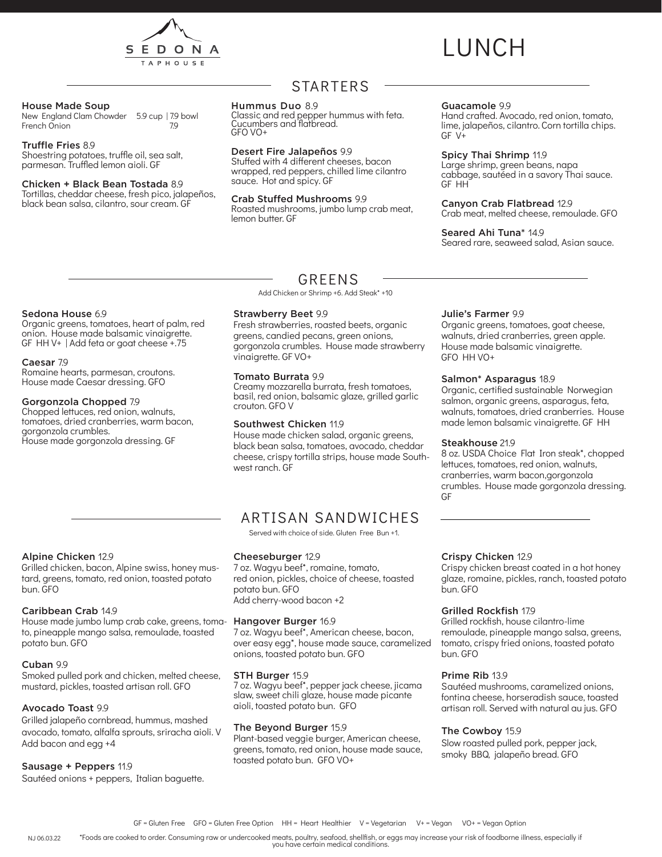

# LUNCH

#### House Made Soup

New England Clam Chowder 5.9 cup | 7.9 bowl<br>French Onion 79 French Onion

#### Truffle Fries 8.9

Shoestring potatoes, truffle oil, sea salt, parmesan. Truffled lemon aioli. GF

#### Chicken + Black Bean Tostada 8.9

Tortillas, cheddar cheese, fresh pico, jalapeños, black bean salsa, cilantro, sour cream. GF

### STARTERS

#### Hummus Duo 8.9

Classic and red pepper hummus with feta. Cucumbers and flatbread. GFO VO+

#### Desert Fire Jalapeños 9.9

Stuffed with 4 different cheeses, bacon wrapped, red peppers, chilled lime cilantro sauce. Hot and spicy. GF

#### Crab Stuffed Mushrooms 9.9

Roasted mushrooms, jumbo lump crab meat, lemon butter. GF

#### Guacamole 9.9

Hand crafted. Avocado, red onion, tomato, lime, jalapeños, cilantro. Corn tortilla chips.  $GF V+$ 

#### Spicy Thai Shrimp 11.9

Large shrimp, green beans, napa cabbage, sautéed in a savory Thai sauce. GF HH

#### Canyon Crab Flatbread 12.9

Crab meat, melted cheese, remoulade. GFO

#### Seared Ahi Tuna\* 14.9

Seared rare, seaweed salad, Asian sauce.

#### Sedona House 6.9

Organic greens, tomatoes, heart of palm, red onion. House made balsamic vinaigrette. GF HH V+ | Add feta or goat cheese +.75

#### Caesar 7.9

Romaine hearts, parmesan, croutons. House made Caesar dressing. GFO

#### Gorgonzola Chopped 7.9

Chopped lettuces, red onion, walnuts, tomatoes, dried cranberries, warm bacon, gorgonzola crumbles. House made gorgonzola dressing. GF

### GREENS

Add Chicken or Shrimp +6. Add Steak\* +10

#### Strawberry Beet 9.9

Fresh strawberries, roasted beets, organic greens, candied pecans, green onions, gorgonzola crumbles. House made strawberry vinaigrette. GF VO+

#### Tomato Burrata 9.9

Creamy mozzarella burrata, fresh tomatoes, basil, red onion, balsamic glaze, grilled garlic crouton. GFO V

#### Southwest Chicken 11.9

House made chicken salad, organic greens, black bean salsa, tomatoes, avocado, cheddar cheese, crispy tortilla strips, house made Southwest ranch. GF

### ARTISAN SANDWICHES

Served with choice of side. Gluten Free Bun +1.

#### Cheeseburger 12.9

7 oz. Wagyu beef\*, romaine, tomato, red onion, pickles, choice of cheese, toasted potato bun. GFO Add cherry-wood bacon +2

7 oz. Wagyu beef\*, American cheese, bacon, over easy egg\*, house made sauce, caramelized onions, toasted potato bun. GFO

#### STH Burger 15.9

7 oz. Wagyu beef\*, pepper jack cheese, jicama slaw, sweet chili glaze, house made picante aioli, toasted potato bun. GFO

#### The Beyond Burger 15.9

Plant-based veggie burger, American cheese, greens, tomato, red onion, house made sauce, toasted potato bun. GFO VO+

#### Julie's Farmer 9.9

Organic greens, tomatoes, goat cheese, walnuts, dried cranberries, green apple. House made balsamic vinaigrette. GFO HH VO+

#### Salmon\* Asparagus 18.9

Organic, certified sustainable Norwegian salmon, organic greens, asparagus, feta, walnuts, tomatoes, dried cranberries. House made lemon balsamic vinaigrette. GF HH

#### Steakhouse 21.9

8 oz. USDA Choice Flat Iron steak\*, chopped lettuces, tomatoes, red onion, walnuts, cranberries, warm bacon,gorgonzola crumbles. House made gorgonzola dressing. GF

#### Alpine Chicken 12.9

Grilled chicken, bacon, Alpine swiss, honey mustard, greens, tomato, red onion, toasted potato bun. GFO

#### Caribbean Crab 14.9

House made jumbo lump crab cake, greens, toma- Hangover Burger 16.9 to, pineapple mango salsa, remoulade, toasted potato bun. GFO

#### Cuban 99

Smoked pulled pork and chicken, melted cheese, mustard, pickles, toasted artisan roll. GFO

#### Avocado Toast 9.9

Grilled jalapeño cornbread, hummus, mashed avocado, tomato, alfalfa sprouts, sriracha aioli. V Add bacon and egg +4

#### Sausage + Peppers 11.9

Sautéed onions + peppers, Italian baguette.

#### Crispy Chicken 12.9

Crispy chicken breast coated in a hot honey glaze, romaine, pickles, ranch, toasted potato bun. GFO

#### Grilled Rockfish 17.9

Grilled rockfish, house cilantro-lime remoulade, pineapple mango salsa, greens, tomato, crispy fried onions, toasted potato bun. GFO

#### Prime Rib 13.9

Sautéed mushrooms, caramelized onions, fontina cheese, horseradish sauce, toasted artisan roll. Served with natural au jus. GFO

#### The Cowboy 15.9

Slow roasted pulled pork, pepper jack, smoky BBQ, jalapeño bread. GFO

\*Foods are cooked to order. Consuming raw or undercooked meats, poultry, seafood, shellfish, or eggs may increase your risk of foodborne illness, especially if you have certain medical conditions. NJ 06.03.22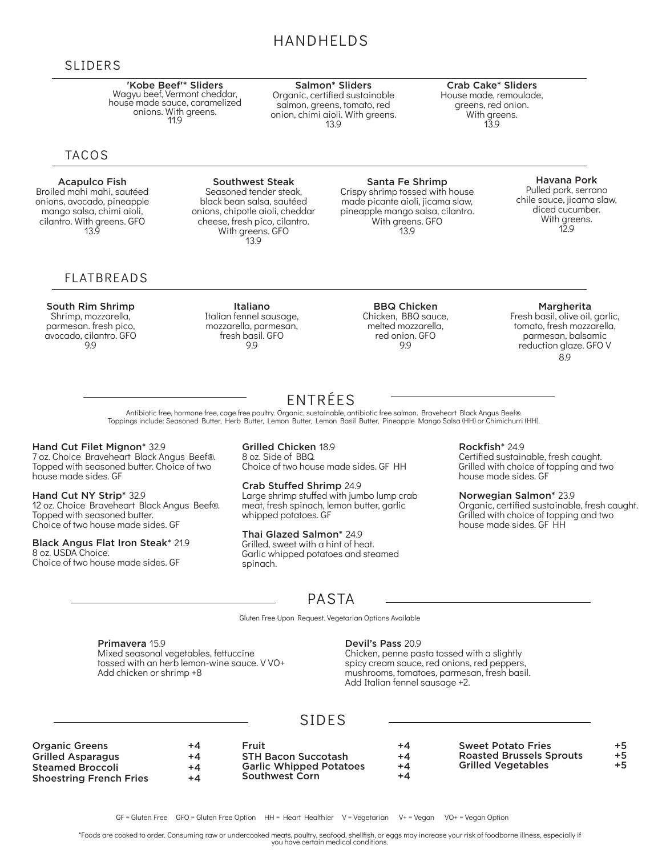### HANDHELDS

Salmon\* Sliders Organic, certified sustainable salmon, greens, tomato, red onion, chimi aioli. With greens. 13.9

### SLIDERS

#### 'Kobe Beef'\* Sliders Wagyu beef, Vermont cheddar, house made sauce, caramelized onions. With greens. 11.9

### TACOS

Acapulco Fish Broiled mahi mahi, sautéed onions, avocado, pineapple mango salsa, chimi aioli, cilantro. With greens. GFO 13.9

### FLATBREADS

#### South Rim Shrimp Shrimp, mozzarella, parmesan. fresh pico, avocado, cilantro. GFO 9.9

Southwest Steak Seasoned tender steak, black bean salsa, sautéed onions, chipotle aioli, cheddar cheese, fresh pico, cilantro. With greens. GFO 13.9

> Italiano Italian fennel sausage, mozzarella, parmesan, fresh basil. GFO 9.9

#### Santa Fe Shrimp

Crispy shrimp tossed with house made picante aioli, jicama slaw, pineapple mango salsa, cilantro. With greens. GFO 13.9

#### Havana Pork Pulled pork, serrano chile sauce, jicama slaw, diced cucumber. With greens. 12.9

BBQ Chicken Chicken, BBQ sauce, melted mozzarella, red onion. GFO 9.9

Margherita

Fresh basil, olive oil, garlic, tomato, fresh mozzarella, parmesan, balsamic reduction glaze. GFO V 8.9

Antibiotic free, hormone free, cage free poultry. Organic, sustainable, antibiotic free salmon. Braveheart Black Angus Beef®. Toppings include: Seasoned Butter, Herb Butter, Lemon Butter, Lemon Basil Butter, Pineapple Mango Salsa (HH) or Chimichurri (HH).

#### Hand Cut Filet Mignon\* 32.9

7 oz. Choice Braveheart Black Angus Beef®. Topped with seasoned butter. Choice of two house made sides. GF

Hand Cut NY Strip\* 32.9 12 oz. Choice Braveheart Black Angus Beef®. Topped with seasoned butter. Choice of two house made sides. GF

#### Black Angus Flat Iron Steak\* 21.9

8 oz. USDA Choice. Choice of two house made sides. GF Grilled Chicken 18.9 8 oz. Side of BBQ. Choice of two house made sides. GF HH

Crab Stuffed Shrimp 24.9 Large shrimp stuffed with jumbo lump crab meat, fresh spinach, lemon butter, garlic whipped potatoes. GF

#### Thai Glazed Salmon\* 24.9

Grilled, sweet with a hint of heat. Garlic whipped potatoes and steamed spinach.

Rockfish\* 24.9

Crab Cake\* Sliders House made, remoulade, greens, red onion. With greens. 13.9

> Certified sustainable, fresh caught. Grilled with choice of topping and two house made sides. GF

Norwegian Salmon\* 23.9

Organic, certified sustainable, fresh caught. Grilled with choice of topping and two house made sides. GF HH

### PASTA

Gluten Free Upon Request. Vegetarian Options Available

Primavera 15.9 Mixed seasonal vegetables, fettuccine tossed with an herb lemon-wine sauce. V VO+ Add chicken or shrimp +8

#### Devil's Pass 20.9

Chicken, penne pasta tossed with a slightly spicy cream sauce, red onions, red peppers, mushrooms, tomatoes, parmesan, fresh basil. Add Italian fennel sausage +2.

### SIDES

| <b>Organic Greens</b>          | +4   | ⊏ruit                          | +4   | <b>Sweet Potato Fries</b>       | +5   |
|--------------------------------|------|--------------------------------|------|---------------------------------|------|
| <b>Grilled Asparagus</b>       | +4   | <b>STH Bacon Succotash</b>     | +4   | <b>Roasted Brussels Sprouts</b> | $+5$ |
| Steamed Broccoli               | $+4$ | <b>Garlic Whipped Potatoes</b> | +4   | <b>Grilled Vegetables</b>       | +5   |
| <b>Shoestring French Fries</b> | $+4$ | <b>Southwest Corn</b>          | $+4$ |                                 |      |

\*Foods are cooked to order. Consuming raw or undercooked meats, poultry, seafood, shellfish, or eggs may increase your risk of foodborne illness, especially if you have certain medical conditions.

## ENTRÉES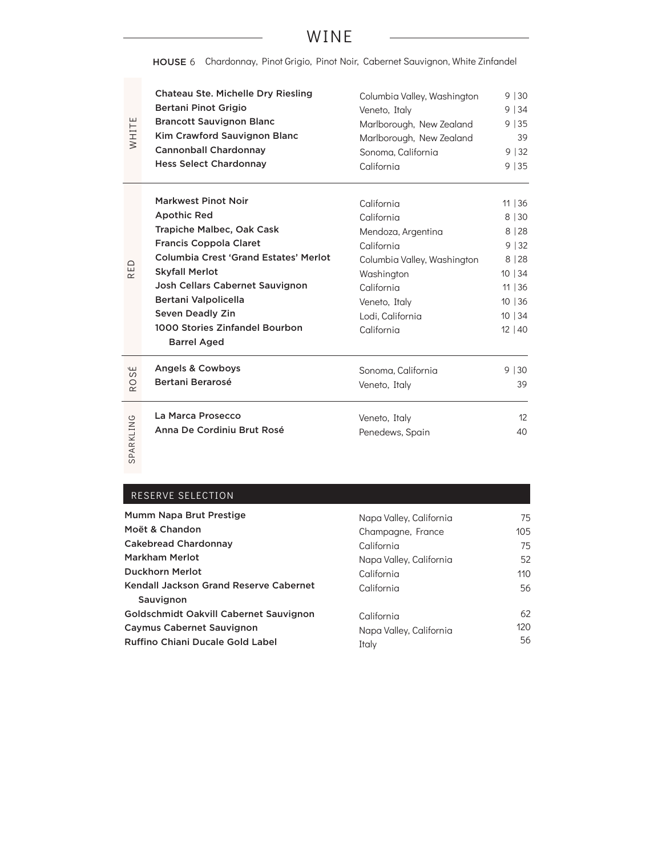### WINE

HOUSE 6 Chardonnay, Pinot Grigio, Pinot Noir, Cabernet Sauvignon, White Zinfandel

| WHITE                           | <b>Chateau Ste. Michelle Dry Riesling</b>                                                                                                                                                                                                                                                                                             | Columbia Valley, Washington                                                                                                                                                | 9 30                                                                                   |
|---------------------------------|---------------------------------------------------------------------------------------------------------------------------------------------------------------------------------------------------------------------------------------------------------------------------------------------------------------------------------------|----------------------------------------------------------------------------------------------------------------------------------------------------------------------------|----------------------------------------------------------------------------------------|
|                                 | <b>Bertani Pinot Grigio</b>                                                                                                                                                                                                                                                                                                           | Veneto, Italy                                                                                                                                                              | 9 34                                                                                   |
|                                 | <b>Brancott Sauvignon Blanc</b>                                                                                                                                                                                                                                                                                                       | Marlborough, New Zealand                                                                                                                                                   | 9 35                                                                                   |
|                                 | Kim Crawford Sauvignon Blanc                                                                                                                                                                                                                                                                                                          | Marlborough, New Zealand                                                                                                                                                   | 39                                                                                     |
|                                 | <b>Cannonball Chardonnay</b>                                                                                                                                                                                                                                                                                                          | Sonoma, California                                                                                                                                                         | 9 32                                                                                   |
|                                 | <b>Hess Select Chardonnay</b>                                                                                                                                                                                                                                                                                                         | California                                                                                                                                                                 | 9 35                                                                                   |
| RED                             | <b>Markwest Pinot Noir</b><br><b>Apothic Red</b><br>Trapiche Malbec, Oak Cask<br><b>Francis Coppola Claret</b><br><b>Columbia Crest 'Grand Estates' Merlot</b><br><b>Skyfall Merlot</b><br>Josh Cellars Cabernet Sauvignon<br>Bertani Valpolicella<br><b>Seven Deadly Zin</b><br>1000 Stories Zinfandel Bourbon<br><b>Barrel Aged</b> | California<br>California<br>Mendoza, Argentina<br>California<br>Columbia Valley, Washington<br>Washington<br>California<br>Veneto, Italy<br>Lodi, California<br>California | 11   36<br>8 30<br>8 28<br>9 32<br>8 28<br>10 34<br>11   36<br>10 36<br>10 34<br>12 40 |
| سا<br>S<br>$\circ$<br>$\propto$ | Angels & Cowboys<br>Bertani Berarosé                                                                                                                                                                                                                                                                                                  | Sonoma, California<br>Veneto, Italy                                                                                                                                        | $9 \mid 30$<br>39                                                                      |
| SPARKLING                       | La Marca Prosecco                                                                                                                                                                                                                                                                                                                     | Veneto, Italy                                                                                                                                                              | 12                                                                                     |
|                                 | Anna De Cordiniu Brut Rosé                                                                                                                                                                                                                                                                                                            | Penedews, Spain                                                                                                                                                            | 40                                                                                     |

### RESERVE SELECTION

| Mumm Napa Brut Prestige                                                     | Napa Valley, California          | 75        |
|-----------------------------------------------------------------------------|----------------------------------|-----------|
| Moët & Chandon                                                              | Champagne, France                | 105       |
| <b>Cakebread Chardonnay</b>                                                 | California                       | 75        |
| <b>Markham Merlot</b>                                                       | Napa Valley, California          | 52        |
| <b>Duckhorn Merlot</b>                                                      | California                       | 110       |
| Kendall Jackson Grand Reserve Cabernet<br>Sauvignon                         | California                       | 56        |
| Goldschmidt Oakvill Cabernet Sauvignon                                      | California                       | 62        |
| <b>Caymus Cabernet Sauvignon</b><br><b>Ruffino Chiani Ducale Gold Label</b> | Napa Valley, California<br>Italy | 120<br>56 |
|                                                                             |                                  |           |